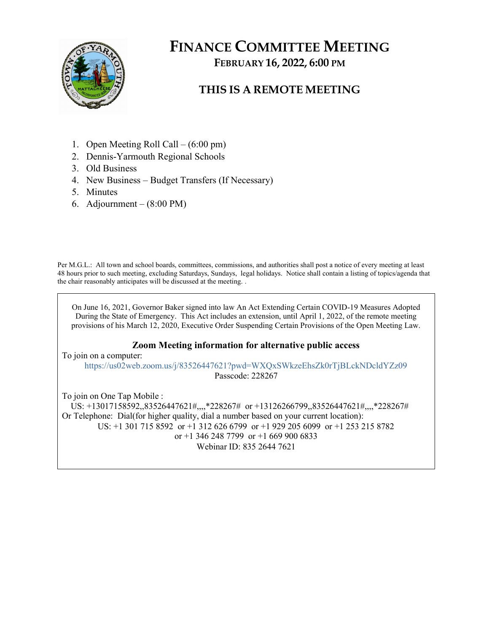

# FINANCE COMMITTEE MEETING FEBRUARY 16, 2022, 6:00 PM

## THIS IS A REMOTE MEETING

- 1. Open Meeting Roll Call (6:00 pm)
- 2. Dennis-Yarmouth Regional Schools
- 3. Old Business
- 4. New Business Budget Transfers (If Necessary)
- 5. Minutes
- 6. Adjournment (8:00 PM)

Per M.G.L.: All town and school boards, committees, commissions, and authorities shall post a notice of every meeting at least 48 hours prior to such meeting, excluding Saturdays, Sundays, legal holidays. Notice shall contain a listing of topics/agenda that the chair reasonably anticipates will be discussed at the meeting. .

On June 16, 2021, Governor Baker signed into law An Act Extending Certain COVID-19 Measures Adopted During the State of Emergency. This Act includes an extension, until April 1, 2022, of the remote meeting provisions of his March 12, 2020, Executive Order Suspending Certain Provisions of the Open Meeting Law.

#### Zoom Meeting information for alternative public access

To join on a computer: https://us02web.zoom.us/j/83526447621?pwd=WXQxSWkzeEhsZk0rTjBLckNDcldYZz09 Passcode: 228267

To join on One Tap Mobile : US: +13017158592,,83526447621#,,,,\*228267# or +13126266799,,83526447621#,,,,\*228267# Or Telephone: Dial(for higher quality, dial a number based on your current location): US: +1 301 715 8592 or +1 312 626 6799 or +1 929 205 6099 or +1 253 215 8782 or +1 346 248 7799 or +1 669 900 6833 Webinar ID: 835 2644 7621